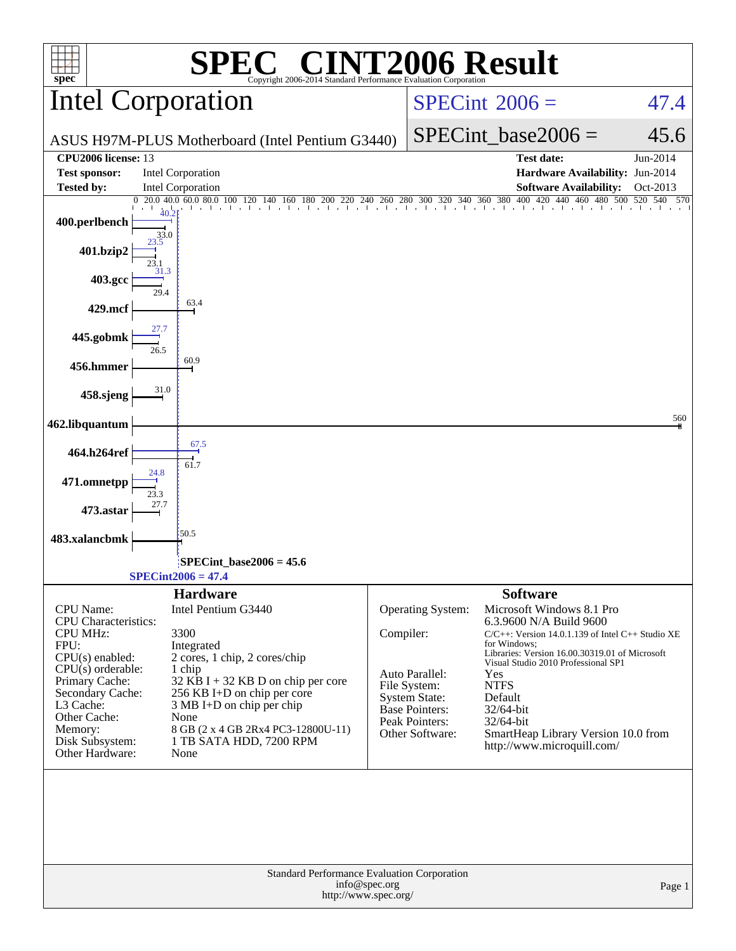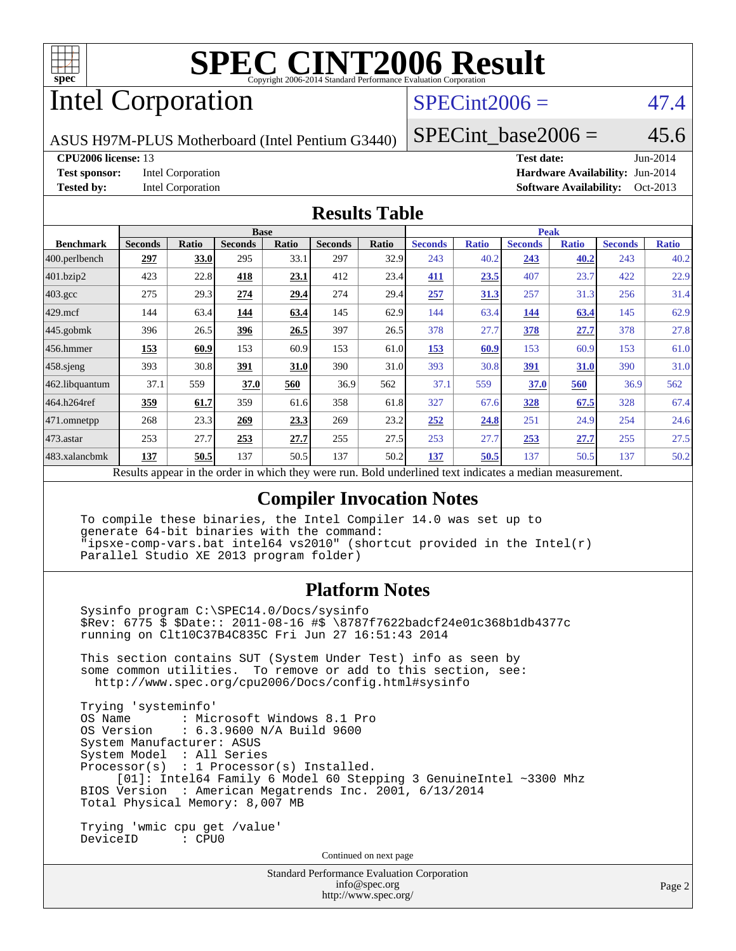

# Intel Corporation

## $SPECint2006 = 47.4$  $SPECint2006 = 47.4$

ASUS H97M-PLUS Motherboard (Intel Pentium G3440)

SPECint base2006 =  $45.6$ 

#### **[CPU2006 license:](http://www.spec.org/auto/cpu2006/Docs/result-fields.html#CPU2006license)** 13 **[Test date:](http://www.spec.org/auto/cpu2006/Docs/result-fields.html#Testdate)** Jun-2014

**[Test sponsor:](http://www.spec.org/auto/cpu2006/Docs/result-fields.html#Testsponsor)** Intel Corporation **[Hardware Availability:](http://www.spec.org/auto/cpu2006/Docs/result-fields.html#HardwareAvailability)** Jun-2014

**[Tested by:](http://www.spec.org/auto/cpu2006/Docs/result-fields.html#Testedby)** Intel Corporation **[Software Availability:](http://www.spec.org/auto/cpu2006/Docs/result-fields.html#SoftwareAvailability)** Oct-2013

#### **[Results Table](http://www.spec.org/auto/cpu2006/Docs/result-fields.html#ResultsTable)**

|                         | <b>Base</b>    |              |                                                   |              |                |       | <b>Peak</b>                                         |              |                |              |                |              |
|-------------------------|----------------|--------------|---------------------------------------------------|--------------|----------------|-------|-----------------------------------------------------|--------------|----------------|--------------|----------------|--------------|
| <b>Benchmark</b>        | <b>Seconds</b> | <b>Ratio</b> | <b>Seconds</b>                                    | <b>Ratio</b> | <b>Seconds</b> | Ratio | <b>Seconds</b>                                      | <b>Ratio</b> | <b>Seconds</b> | <b>Ratio</b> | <b>Seconds</b> | <b>Ratio</b> |
| $ 400.\text{perlbench}$ | 297            | 33.0         | 295                                               | 33.1         | 297            | 32.9  | 243                                                 | 40.2         | 243            | 40.2         | 243            | 40.2         |
| 401.bzip2               | 423            | 22.8         | 418                                               | 23.1         | 412            | 23.4  | 411                                                 | 23.5         | 407            | 23.7         | 422            | 22.9         |
| $403.\text{gcc}$        | 275            | 29.3         | 274                                               | 29.4         | 274            | 29.4  | 257                                                 | 31.3         | 257            | 31.3         | 256            | 31.4         |
| $429$ .mcf              | 144            | 63.4         | 144                                               | 63.4         | 145            | 62.9  | 144                                                 | 63.4         | 144            | 63.4         | 145            | 62.9         |
| $445$ .gobmk            | 396            | 26.5         | 396                                               | 26.5         | 397            | 26.5  | 378                                                 | 27.7         | 378            | 27.7         | 378            | 27.8         |
| 456.hmmer               | 153            | 60.9         | 153                                               | 60.9         | 153            | 61.0  | 153                                                 | 60.9         | 153            | 60.9         | 153            | 61.0         |
| 458 sjeng               | 393            | 30.8         | 391                                               | 31.0         | 390            | 31.0  | 393                                                 | 30.8         | <u>391</u>     | 31.0         | 390            | 31.0         |
| 462.libquantum          | 37.1           | 559          | 37.0                                              | 560          | 36.9           | 562   | 37.1                                                | 559          | 37.0           | 560          | 36.9           | 562          |
| 464.h264ref             | 359            | 61.7         | 359                                               | 61.6         | 358            | 61.8  | 327                                                 | 67.6         | <b>328</b>     | 67.5         | 328            | 67.4         |
| 471.omnetpp             | 268            | 23.3         | 269                                               | 23.3         | 269            | 23.2  | 252                                                 | 24.8         | 251            | 24.9         | 254            | 24.6         |
| $473.$ astar            | 253            | 27.7         | 253                                               | 27.7         | 255            | 27.5  | 253                                                 | 27.7         | 253            | 27.7         | 255            | 27.5         |
| 483.xalancbmk           | 137            | 50.5         | 137                                               | 50.5         | 137            | 50.2  | 137                                                 | 50.5         | 137            | 50.5         | 137            | 50.2         |
|                         |                |              | Decute ennoye in the order in which they were mun |              |                |       | Dold underlined text indicates a madian measurement |              |                |              |                |              |

Results appear in the [order in which they were run.](http://www.spec.org/auto/cpu2006/Docs/result-fields.html#RunOrder) Bold underlined text [indicates a median measurement.](http://www.spec.org/auto/cpu2006/Docs/result-fields.html#Median)

#### **[Compiler Invocation Notes](http://www.spec.org/auto/cpu2006/Docs/result-fields.html#CompilerInvocationNotes)**

 To compile these binaries, the Intel Compiler 14.0 was set up to generate 64-bit binaries with the command: "ipsxe-comp-vars.bat intel64 vs2010" (shortcut provided in the Intel(r) Parallel Studio XE 2013 program folder)

#### **[Platform Notes](http://www.spec.org/auto/cpu2006/Docs/result-fields.html#PlatformNotes)**

 Sysinfo program C:\SPEC14.0/Docs/sysinfo \$Rev: 6775 \$ \$Date:: 2011-08-16 #\$ \8787f7622badcf24e01c368b1db4377c running on Clt10C37B4C835C Fri Jun 27 16:51:43 2014 This section contains SUT (System Under Test) info as seen by some common utilities. To remove or add to this section, see: <http://www.spec.org/cpu2006/Docs/config.html#sysinfo>

 Trying 'systeminfo' : Microsoft Windows 8.1 Pro OS Version : 6.3.9600 N/A Build 9600 System Manufacturer: ASUS System Model : All Series Processor(s) : 1 Processor(s) Installed. [01]: Intel64 Family 6 Model 60 Stepping 3 GenuineIntel ~3300 Mhz BIOS Version : American Megatrends Inc. 2001, 6/13/2014 Total Physical Memory: 8,007 MB

 Trying 'wmic cpu get /value' DeviceID : CPU0

Continued on next page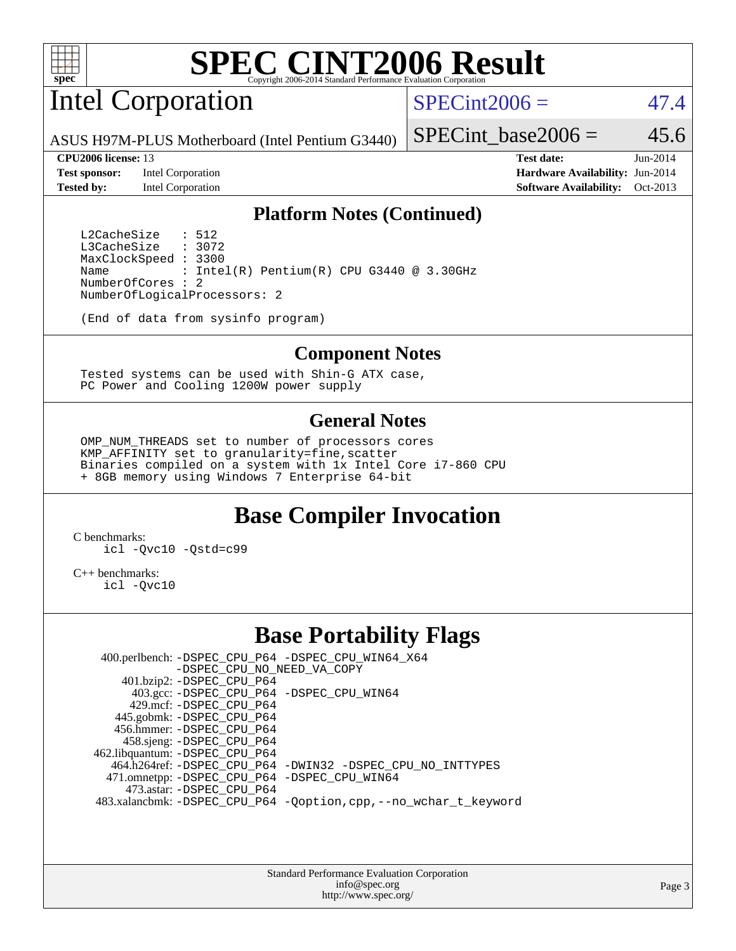

# Intel Corporation

 $SPECint2006 = 47.4$  $SPECint2006 = 47.4$ 

ASUS H97M-PLUS Motherboard (Intel Pentium G3440)

**[Test sponsor:](http://www.spec.org/auto/cpu2006/Docs/result-fields.html#Testsponsor)** Intel Corporation **[Hardware Availability:](http://www.spec.org/auto/cpu2006/Docs/result-fields.html#HardwareAvailability)** Jun-2014

SPECint base2006 =  $45.6$ 

**[CPU2006 license:](http://www.spec.org/auto/cpu2006/Docs/result-fields.html#CPU2006license)** 13 **[Test date:](http://www.spec.org/auto/cpu2006/Docs/result-fields.html#Testdate)** Jun-2014 **[Tested by:](http://www.spec.org/auto/cpu2006/Docs/result-fields.html#Testedby)** Intel Corporation **[Software Availability:](http://www.spec.org/auto/cpu2006/Docs/result-fields.html#SoftwareAvailability)** Oct-2013

#### **[Platform Notes \(Continued\)](http://www.spec.org/auto/cpu2006/Docs/result-fields.html#PlatformNotes)**

L2CacheSize : 512<br>L3CacheSize : 3072 L3CacheSize MaxClockSpeed : 3300 Name : Intel(R) Pentium(R) CPU G3440 @ 3.30GHz NumberOfCores : 2 NumberOfLogicalProcessors: 2

(End of data from sysinfo program)

#### **[Component Notes](http://www.spec.org/auto/cpu2006/Docs/result-fields.html#ComponentNotes)**

 Tested systems can be used with Shin-G ATX case, PC Power and Cooling 1200W power supply

#### **[General Notes](http://www.spec.org/auto/cpu2006/Docs/result-fields.html#GeneralNotes)**

 OMP\_NUM\_THREADS set to number of processors cores KMP\_AFFINITY set to granularity=fine,scatter Binaries compiled on a system with 1x Intel Core i7-860 CPU + 8GB memory using Windows 7 Enterprise 64-bit

### **[Base Compiler Invocation](http://www.spec.org/auto/cpu2006/Docs/result-fields.html#BaseCompilerInvocation)**

[C benchmarks](http://www.spec.org/auto/cpu2006/Docs/result-fields.html#Cbenchmarks): [icl -Qvc10](http://www.spec.org/cpu2006/results/res2014q3/cpu2006-20140725-30598.flags.html#user_CCbase_intel_icc_vc10_9607f3ecbcdf68042245f068e51b40c1) [-Qstd=c99](http://www.spec.org/cpu2006/results/res2014q3/cpu2006-20140725-30598.flags.html#user_CCbase_intel_compiler_c99_mode_1a3d110e3041b3ad4466830521bdad2a)

[C++ benchmarks:](http://www.spec.org/auto/cpu2006/Docs/result-fields.html#CXXbenchmarks) [icl -Qvc10](http://www.spec.org/cpu2006/results/res2014q3/cpu2006-20140725-30598.flags.html#user_CXXbase_intel_icc_vc10_9607f3ecbcdf68042245f068e51b40c1)

#### **[Base Portability Flags](http://www.spec.org/auto/cpu2006/Docs/result-fields.html#BasePortabilityFlags)**

 400.perlbench: [-DSPEC\\_CPU\\_P64](http://www.spec.org/cpu2006/results/res2014q3/cpu2006-20140725-30598.flags.html#b400.perlbench_basePORTABILITY_DSPEC_CPU_P64) [-DSPEC\\_CPU\\_WIN64\\_X64](http://www.spec.org/cpu2006/results/res2014q3/cpu2006-20140725-30598.flags.html#b400.perlbench_baseCPORTABILITY_DSPEC_CPU_WIN64_X64) [-DSPEC\\_CPU\\_NO\\_NEED\\_VA\\_COPY](http://www.spec.org/cpu2006/results/res2014q3/cpu2006-20140725-30598.flags.html#b400.perlbench_baseCPORTABILITY_DSPEC_CPU_NO_NEED_VA_COPY) 401.bzip2: [-DSPEC\\_CPU\\_P64](http://www.spec.org/cpu2006/results/res2014q3/cpu2006-20140725-30598.flags.html#suite_basePORTABILITY401_bzip2_DSPEC_CPU_P64) 403.gcc: [-DSPEC\\_CPU\\_P64](http://www.spec.org/cpu2006/results/res2014q3/cpu2006-20140725-30598.flags.html#suite_basePORTABILITY403_gcc_DSPEC_CPU_P64) [-DSPEC\\_CPU\\_WIN64](http://www.spec.org/cpu2006/results/res2014q3/cpu2006-20140725-30598.flags.html#b403.gcc_baseCPORTABILITY_DSPEC_CPU_WIN64) 429.mcf: [-DSPEC\\_CPU\\_P64](http://www.spec.org/cpu2006/results/res2014q3/cpu2006-20140725-30598.flags.html#suite_basePORTABILITY429_mcf_DSPEC_CPU_P64) 445.gobmk: [-DSPEC\\_CPU\\_P64](http://www.spec.org/cpu2006/results/res2014q3/cpu2006-20140725-30598.flags.html#suite_basePORTABILITY445_gobmk_DSPEC_CPU_P64) 456.hmmer: [-DSPEC\\_CPU\\_P64](http://www.spec.org/cpu2006/results/res2014q3/cpu2006-20140725-30598.flags.html#suite_basePORTABILITY456_hmmer_DSPEC_CPU_P64) 458.sjeng: [-DSPEC\\_CPU\\_P64](http://www.spec.org/cpu2006/results/res2014q3/cpu2006-20140725-30598.flags.html#suite_basePORTABILITY458_sjeng_DSPEC_CPU_P64) 462.libquantum: [-DSPEC\\_CPU\\_P64](http://www.spec.org/cpu2006/results/res2014q3/cpu2006-20140725-30598.flags.html#suite_basePORTABILITY462_libquantum_DSPEC_CPU_P64) 464.h264ref: [-DSPEC\\_CPU\\_P64](http://www.spec.org/cpu2006/results/res2014q3/cpu2006-20140725-30598.flags.html#suite_basePORTABILITY464_h264ref_DSPEC_CPU_P64) [-DWIN32](http://www.spec.org/cpu2006/results/res2014q3/cpu2006-20140725-30598.flags.html#b464.h264ref_baseCPORTABILITY_DWIN32) [-DSPEC\\_CPU\\_NO\\_INTTYPES](http://www.spec.org/cpu2006/results/res2014q3/cpu2006-20140725-30598.flags.html#b464.h264ref_baseCPORTABILITY_DSPEC_CPU_NO_INTTYPES) 471.omnetpp: [-DSPEC\\_CPU\\_P64](http://www.spec.org/cpu2006/results/res2014q3/cpu2006-20140725-30598.flags.html#suite_basePORTABILITY471_omnetpp_DSPEC_CPU_P64) [-DSPEC\\_CPU\\_WIN64](http://www.spec.org/cpu2006/results/res2014q3/cpu2006-20140725-30598.flags.html#b471.omnetpp_baseCXXPORTABILITY_DSPEC_CPU_WIN64) 473.astar: [-DSPEC\\_CPU\\_P64](http://www.spec.org/cpu2006/results/res2014q3/cpu2006-20140725-30598.flags.html#suite_basePORTABILITY473_astar_DSPEC_CPU_P64) 483.xalancbmk: [-DSPEC\\_CPU\\_P64](http://www.spec.org/cpu2006/results/res2014q3/cpu2006-20140725-30598.flags.html#suite_basePORTABILITY483_xalancbmk_DSPEC_CPU_P64) [-Qoption,cpp,--no\\_wchar\\_t\\_keyword](http://www.spec.org/cpu2006/results/res2014q3/cpu2006-20140725-30598.flags.html#user_baseCXXPORTABILITY483_xalancbmk_f-no_wchar_t_keyword_ec0ad4495a16b4e858bfcb29d949d25d)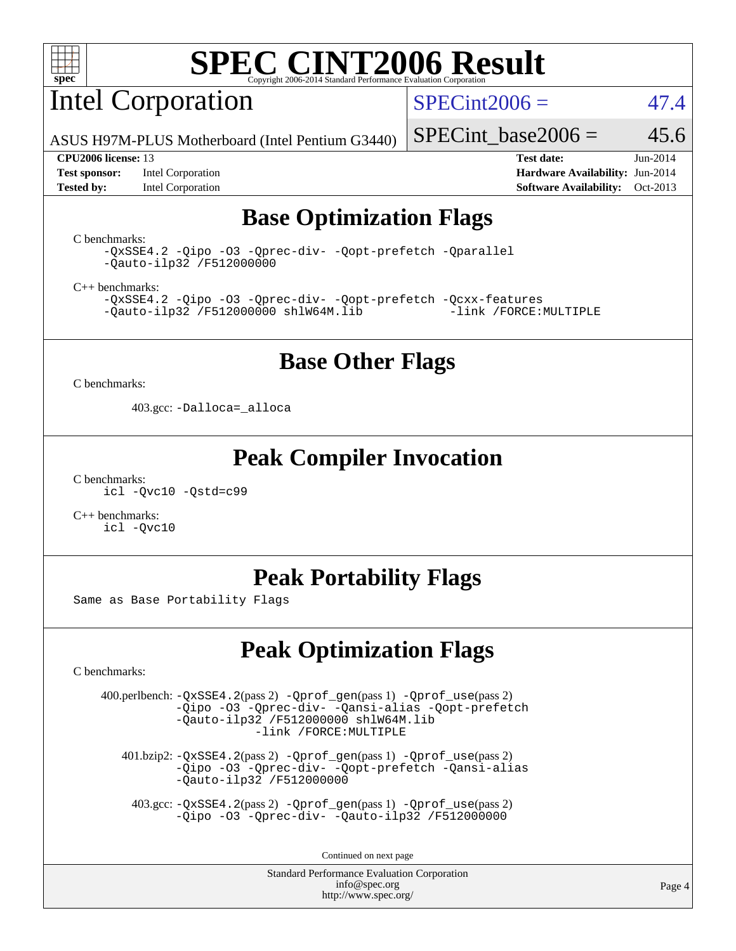

# Intel Corporation

 $SPECint2006 = 47.4$  $SPECint2006 = 47.4$ 

ASUS H97M-PLUS Motherboard (Intel Pentium G3440)

**[Test sponsor:](http://www.spec.org/auto/cpu2006/Docs/result-fields.html#Testsponsor)** Intel Corporation **[Hardware Availability:](http://www.spec.org/auto/cpu2006/Docs/result-fields.html#HardwareAvailability)** Jun-2014 **[Tested by:](http://www.spec.org/auto/cpu2006/Docs/result-fields.html#Testedby)** Intel Corporation **[Software Availability:](http://www.spec.org/auto/cpu2006/Docs/result-fields.html#SoftwareAvailability)** Oct-2013

SPECint base2006 =  $45.6$ 

**[CPU2006 license:](http://www.spec.org/auto/cpu2006/Docs/result-fields.html#CPU2006license)** 13 **[Test date:](http://www.spec.org/auto/cpu2006/Docs/result-fields.html#Testdate)** Jun-2014

## **[Base Optimization Flags](http://www.spec.org/auto/cpu2006/Docs/result-fields.html#BaseOptimizationFlags)**

[C benchmarks](http://www.spec.org/auto/cpu2006/Docs/result-fields.html#Cbenchmarks):

[-QxSSE4.2](http://www.spec.org/cpu2006/results/res2014q3/cpu2006-20140725-30598.flags.html#user_CCbase_f-QxSSE42_372695bbe211719895df0310b324a1ca) [-Qipo](http://www.spec.org/cpu2006/results/res2014q3/cpu2006-20140725-30598.flags.html#user_CCbase_f-Qipo) [-O3](http://www.spec.org/cpu2006/results/res2014q3/cpu2006-20140725-30598.flags.html#user_CCbase_f-O3) [-Qprec-div-](http://www.spec.org/cpu2006/results/res2014q3/cpu2006-20140725-30598.flags.html#user_CCbase_f-Qprec-div-) [-Qopt-prefetch](http://www.spec.org/cpu2006/results/res2014q3/cpu2006-20140725-30598.flags.html#user_CCbase_f-Qprefetch_37c211608666b9dff9380561f602f0a8) [-Qparallel](http://www.spec.org/cpu2006/results/res2014q3/cpu2006-20140725-30598.flags.html#user_CCbase_f-Qparallel) [-Qauto-ilp32](http://www.spec.org/cpu2006/results/res2014q3/cpu2006-20140725-30598.flags.html#user_CCbase_f-Qauto-ilp32) [/F512000000](http://www.spec.org/cpu2006/results/res2014q3/cpu2006-20140725-30598.flags.html#user_CCbase_set_stack_space_98438a10eb60aa5f35f4c79d9b9b27b1)

[C++ benchmarks:](http://www.spec.org/auto/cpu2006/Docs/result-fields.html#CXXbenchmarks)

[-QxSSE4.2](http://www.spec.org/cpu2006/results/res2014q3/cpu2006-20140725-30598.flags.html#user_CXXbase_f-QxSSE42_372695bbe211719895df0310b324a1ca) [-Qipo](http://www.spec.org/cpu2006/results/res2014q3/cpu2006-20140725-30598.flags.html#user_CXXbase_f-Qipo) [-O3](http://www.spec.org/cpu2006/results/res2014q3/cpu2006-20140725-30598.flags.html#user_CXXbase_f-O3) [-Qprec-div-](http://www.spec.org/cpu2006/results/res2014q3/cpu2006-20140725-30598.flags.html#user_CXXbase_f-Qprec-div-) [-Qopt-prefetch](http://www.spec.org/cpu2006/results/res2014q3/cpu2006-20140725-30598.flags.html#user_CXXbase_f-Qprefetch_37c211608666b9dff9380561f602f0a8) [-Qcxx-features](http://www.spec.org/cpu2006/results/res2014q3/cpu2006-20140725-30598.flags.html#user_CXXbase_f-Qcxx_features_dbf36c8a6dba956e22f1645e4dcd4d98)  $-Qauto-ilp32$  [/F512000000](http://www.spec.org/cpu2006/results/res2014q3/cpu2006-20140725-30598.flags.html#user_CXXbase_set_stack_space_98438a10eb60aa5f35f4c79d9b9b27b1) [shlW64M.lib](http://www.spec.org/cpu2006/results/res2014q3/cpu2006-20140725-30598.flags.html#user_CXXbase_SmartHeap64_c4f7f76711bdf8c0633a5c1edf6e5396)

#### **[Base Other Flags](http://www.spec.org/auto/cpu2006/Docs/result-fields.html#BaseOtherFlags)**

[C benchmarks](http://www.spec.org/auto/cpu2006/Docs/result-fields.html#Cbenchmarks):

403.gcc: [-Dalloca=\\_alloca](http://www.spec.org/cpu2006/results/res2014q3/cpu2006-20140725-30598.flags.html#b403.gcc_baseEXTRA_CFLAGS_Dalloca_be3056838c12de2578596ca5467af7f3)

#### **[Peak Compiler Invocation](http://www.spec.org/auto/cpu2006/Docs/result-fields.html#PeakCompilerInvocation)**

[C benchmarks](http://www.spec.org/auto/cpu2006/Docs/result-fields.html#Cbenchmarks): [icl -Qvc10](http://www.spec.org/cpu2006/results/res2014q3/cpu2006-20140725-30598.flags.html#user_CCpeak_intel_icc_vc10_9607f3ecbcdf68042245f068e51b40c1) [-Qstd=c99](http://www.spec.org/cpu2006/results/res2014q3/cpu2006-20140725-30598.flags.html#user_CCpeak_intel_compiler_c99_mode_1a3d110e3041b3ad4466830521bdad2a)

[C++ benchmarks:](http://www.spec.org/auto/cpu2006/Docs/result-fields.html#CXXbenchmarks) [icl -Qvc10](http://www.spec.org/cpu2006/results/res2014q3/cpu2006-20140725-30598.flags.html#user_CXXpeak_intel_icc_vc10_9607f3ecbcdf68042245f068e51b40c1)

### **[Peak Portability Flags](http://www.spec.org/auto/cpu2006/Docs/result-fields.html#PeakPortabilityFlags)**

Same as Base Portability Flags

## **[Peak Optimization Flags](http://www.spec.org/auto/cpu2006/Docs/result-fields.html#PeakOptimizationFlags)**

[C benchmarks](http://www.spec.org/auto/cpu2006/Docs/result-fields.html#Cbenchmarks):

 400.perlbench: [-QxSSE4.2](http://www.spec.org/cpu2006/results/res2014q3/cpu2006-20140725-30598.flags.html#user_peakPASS2_CFLAGSPASS2_LDFLAGS400_perlbench_f-QxSSE42_372695bbe211719895df0310b324a1ca)(pass 2) [-Qprof\\_gen](http://www.spec.org/cpu2006/results/res2014q3/cpu2006-20140725-30598.flags.html#user_peakPASS1_CFLAGSPASS1_LDFLAGS400_perlbench_Qprof_gen)(pass 1) [-Qprof\\_use](http://www.spec.org/cpu2006/results/res2014q3/cpu2006-20140725-30598.flags.html#user_peakPASS2_CFLAGSPASS2_LDFLAGS400_perlbench_Qprof_use)(pass 2) [-Qipo](http://www.spec.org/cpu2006/results/res2014q3/cpu2006-20140725-30598.flags.html#user_peakOPTIMIZE400_perlbench_f-Qipo) [-O3](http://www.spec.org/cpu2006/results/res2014q3/cpu2006-20140725-30598.flags.html#user_peakOPTIMIZE400_perlbench_f-O3) [-Qprec-div-](http://www.spec.org/cpu2006/results/res2014q3/cpu2006-20140725-30598.flags.html#user_peakOPTIMIZE400_perlbench_f-Qprec-div-) [-Qansi-alias](http://www.spec.org/cpu2006/results/res2014q3/cpu2006-20140725-30598.flags.html#user_peakOPTIMIZE400_perlbench_f-Qansi-alias) [-Qopt-prefetch](http://www.spec.org/cpu2006/results/res2014q3/cpu2006-20140725-30598.flags.html#user_peakOPTIMIZE400_perlbench_f-Qprefetch_37c211608666b9dff9380561f602f0a8) [-Qauto-ilp32](http://www.spec.org/cpu2006/results/res2014q3/cpu2006-20140725-30598.flags.html#user_peakCOPTIMIZE400_perlbench_f-Qauto-ilp32) [/F512000000](http://www.spec.org/cpu2006/results/res2014q3/cpu2006-20140725-30598.flags.html#user_peakEXTRA_LDFLAGS400_perlbench_set_stack_space_98438a10eb60aa5f35f4c79d9b9b27b1) [shlW64M.lib](http://www.spec.org/cpu2006/results/res2014q3/cpu2006-20140725-30598.flags.html#user_peakEXTRA_LIBS400_perlbench_SmartHeap64_c4f7f76711bdf8c0633a5c1edf6e5396)  [-link /FORCE:MULTIPLE](http://www.spec.org/cpu2006/results/res2014q3/cpu2006-20140725-30598.flags.html#user_peakLDOUT400_perlbench_link_force_multiple2_070fe330869edf77077b841074b8b0b6)

 401.bzip2: [-QxSSE4.2](http://www.spec.org/cpu2006/results/res2014q3/cpu2006-20140725-30598.flags.html#user_peakPASS2_CFLAGSPASS2_LDFLAGS401_bzip2_f-QxSSE42_372695bbe211719895df0310b324a1ca)(pass 2) [-Qprof\\_gen](http://www.spec.org/cpu2006/results/res2014q3/cpu2006-20140725-30598.flags.html#user_peakPASS1_CFLAGSPASS1_LDFLAGS401_bzip2_Qprof_gen)(pass 1) [-Qprof\\_use](http://www.spec.org/cpu2006/results/res2014q3/cpu2006-20140725-30598.flags.html#user_peakPASS2_CFLAGSPASS2_LDFLAGS401_bzip2_Qprof_use)(pass 2) [-Qipo](http://www.spec.org/cpu2006/results/res2014q3/cpu2006-20140725-30598.flags.html#user_peakOPTIMIZE401_bzip2_f-Qipo) [-O3](http://www.spec.org/cpu2006/results/res2014q3/cpu2006-20140725-30598.flags.html#user_peakOPTIMIZE401_bzip2_f-O3) [-Qprec-div-](http://www.spec.org/cpu2006/results/res2014q3/cpu2006-20140725-30598.flags.html#user_peakOPTIMIZE401_bzip2_f-Qprec-div-) [-Qopt-prefetch](http://www.spec.org/cpu2006/results/res2014q3/cpu2006-20140725-30598.flags.html#user_peakOPTIMIZE401_bzip2_f-Qprefetch_37c211608666b9dff9380561f602f0a8) [-Qansi-alias](http://www.spec.org/cpu2006/results/res2014q3/cpu2006-20140725-30598.flags.html#user_peakOPTIMIZE401_bzip2_f-Qansi-alias) [-Qauto-ilp32](http://www.spec.org/cpu2006/results/res2014q3/cpu2006-20140725-30598.flags.html#user_peakCOPTIMIZE401_bzip2_f-Qauto-ilp32) [/F512000000](http://www.spec.org/cpu2006/results/res2014q3/cpu2006-20140725-30598.flags.html#user_peakEXTRA_LDFLAGS401_bzip2_set_stack_space_98438a10eb60aa5f35f4c79d9b9b27b1)

 403.gcc: [-QxSSE4.2](http://www.spec.org/cpu2006/results/res2014q3/cpu2006-20140725-30598.flags.html#user_peakPASS2_CFLAGSPASS2_LDFLAGS403_gcc_f-QxSSE42_372695bbe211719895df0310b324a1ca)(pass 2) [-Qprof\\_gen](http://www.spec.org/cpu2006/results/res2014q3/cpu2006-20140725-30598.flags.html#user_peakPASS1_CFLAGSPASS1_LDFLAGS403_gcc_Qprof_gen)(pass 1) [-Qprof\\_use](http://www.spec.org/cpu2006/results/res2014q3/cpu2006-20140725-30598.flags.html#user_peakPASS2_CFLAGSPASS2_LDFLAGS403_gcc_Qprof_use)(pass 2) [-Qipo](http://www.spec.org/cpu2006/results/res2014q3/cpu2006-20140725-30598.flags.html#user_peakOPTIMIZE403_gcc_f-Qipo) [-O3](http://www.spec.org/cpu2006/results/res2014q3/cpu2006-20140725-30598.flags.html#user_peakOPTIMIZE403_gcc_f-O3) [-Qprec-div-](http://www.spec.org/cpu2006/results/res2014q3/cpu2006-20140725-30598.flags.html#user_peakOPTIMIZE403_gcc_f-Qprec-div-) [-Qauto-ilp32](http://www.spec.org/cpu2006/results/res2014q3/cpu2006-20140725-30598.flags.html#user_peakCOPTIMIZE403_gcc_f-Qauto-ilp32) [/F512000000](http://www.spec.org/cpu2006/results/res2014q3/cpu2006-20140725-30598.flags.html#user_peakEXTRA_LDFLAGS403_gcc_set_stack_space_98438a10eb60aa5f35f4c79d9b9b27b1)

Continued on next page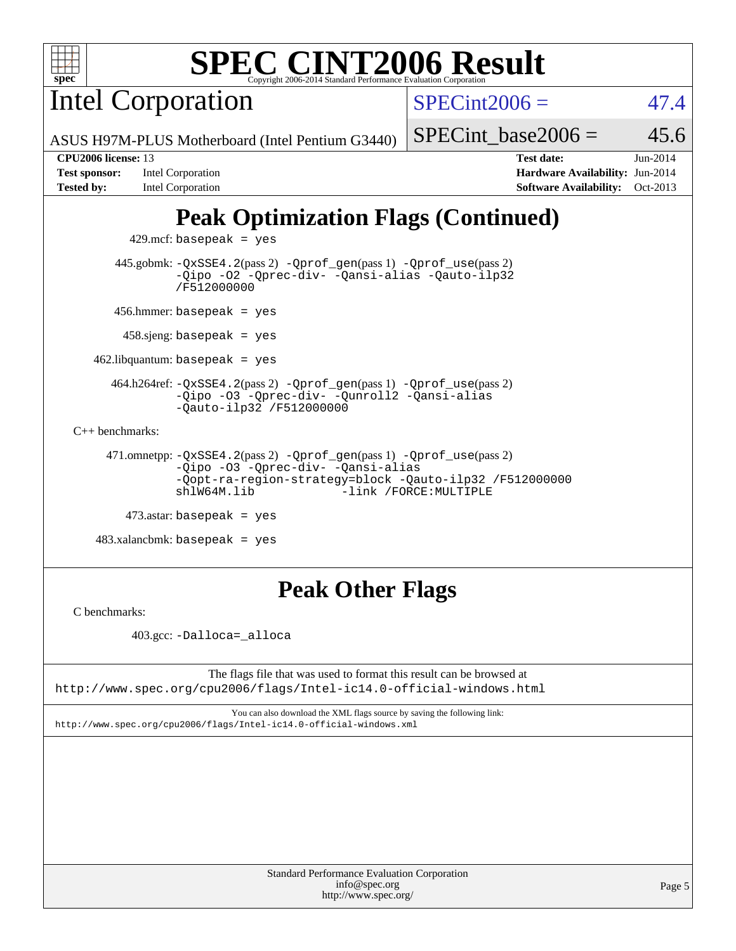

Intel Corporation

 $SPECint2006 = 47.4$  $SPECint2006 = 47.4$ 

ASUS H97M-PLUS Motherboard (Intel Pentium G3440)

#### SPECint base2006 =  $45.6$

**[Test sponsor:](http://www.spec.org/auto/cpu2006/Docs/result-fields.html#Testsponsor)** Intel Corporation **[Hardware Availability:](http://www.spec.org/auto/cpu2006/Docs/result-fields.html#HardwareAvailability)** Jun-2014

**[CPU2006 license:](http://www.spec.org/auto/cpu2006/Docs/result-fields.html#CPU2006license)** 13 **[Test date:](http://www.spec.org/auto/cpu2006/Docs/result-fields.html#Testdate)** Jun-2014 **[Tested by:](http://www.spec.org/auto/cpu2006/Docs/result-fields.html#Testedby)** Intel Corporation **[Software Availability:](http://www.spec.org/auto/cpu2006/Docs/result-fields.html#SoftwareAvailability)** Oct-2013

# **[Peak Optimization Flags \(Continued\)](http://www.spec.org/auto/cpu2006/Docs/result-fields.html#PeakOptimizationFlags)**

 $429$ .mcf: basepeak = yes 445.gobmk: [-QxSSE4.2](http://www.spec.org/cpu2006/results/res2014q3/cpu2006-20140725-30598.flags.html#user_peakPASS2_CFLAGSPASS2_LDFLAGS445_gobmk_f-QxSSE42_372695bbe211719895df0310b324a1ca)(pass 2) [-Qprof\\_gen](http://www.spec.org/cpu2006/results/res2014q3/cpu2006-20140725-30598.flags.html#user_peakPASS1_CFLAGSPASS1_LDFLAGS445_gobmk_Qprof_gen)(pass 1) [-Qprof\\_use](http://www.spec.org/cpu2006/results/res2014q3/cpu2006-20140725-30598.flags.html#user_peakPASS2_CFLAGSPASS2_LDFLAGS445_gobmk_Qprof_use)(pass 2) [-Qipo](http://www.spec.org/cpu2006/results/res2014q3/cpu2006-20140725-30598.flags.html#user_peakOPTIMIZE445_gobmk_f-Qipo) [-O2](http://www.spec.org/cpu2006/results/res2014q3/cpu2006-20140725-30598.flags.html#user_peakOPTIMIZE445_gobmk_f-O2) [-Qprec-div-](http://www.spec.org/cpu2006/results/res2014q3/cpu2006-20140725-30598.flags.html#user_peakOPTIMIZE445_gobmk_f-Qprec-div-) [-Qansi-alias](http://www.spec.org/cpu2006/results/res2014q3/cpu2006-20140725-30598.flags.html#user_peakOPTIMIZE445_gobmk_f-Qansi-alias) [-Qauto-ilp32](http://www.spec.org/cpu2006/results/res2014q3/cpu2006-20140725-30598.flags.html#user_peakCOPTIMIZE445_gobmk_f-Qauto-ilp32) [/F512000000](http://www.spec.org/cpu2006/results/res2014q3/cpu2006-20140725-30598.flags.html#user_peakEXTRA_LDFLAGS445_gobmk_set_stack_space_98438a10eb60aa5f35f4c79d9b9b27b1) 456.hmmer: basepeak = yes 458.sjeng: basepeak = yes  $462$ .libquantum: basepeak = yes 464.h264ref: [-QxSSE4.2](http://www.spec.org/cpu2006/results/res2014q3/cpu2006-20140725-30598.flags.html#user_peakPASS2_CFLAGSPASS2_LDFLAGS464_h264ref_f-QxSSE42_372695bbe211719895df0310b324a1ca)(pass 2) [-Qprof\\_gen](http://www.spec.org/cpu2006/results/res2014q3/cpu2006-20140725-30598.flags.html#user_peakPASS1_CFLAGSPASS1_LDFLAGS464_h264ref_Qprof_gen)(pass 1) [-Qprof\\_use](http://www.spec.org/cpu2006/results/res2014q3/cpu2006-20140725-30598.flags.html#user_peakPASS2_CFLAGSPASS2_LDFLAGS464_h264ref_Qprof_use)(pass 2) [-Qipo](http://www.spec.org/cpu2006/results/res2014q3/cpu2006-20140725-30598.flags.html#user_peakOPTIMIZE464_h264ref_f-Qipo) [-O3](http://www.spec.org/cpu2006/results/res2014q3/cpu2006-20140725-30598.flags.html#user_peakOPTIMIZE464_h264ref_f-O3) [-Qprec-div-](http://www.spec.org/cpu2006/results/res2014q3/cpu2006-20140725-30598.flags.html#user_peakOPTIMIZE464_h264ref_f-Qprec-div-) [-Qunroll2](http://www.spec.org/cpu2006/results/res2014q3/cpu2006-20140725-30598.flags.html#user_peakOPTIMIZE464_h264ref_f-Qunroll_1d9456aa650e77fc2a0cf43cef3fa08c) [-Qansi-alias](http://www.spec.org/cpu2006/results/res2014q3/cpu2006-20140725-30598.flags.html#user_peakOPTIMIZE464_h264ref_f-Qansi-alias) [-Qauto-ilp32](http://www.spec.org/cpu2006/results/res2014q3/cpu2006-20140725-30598.flags.html#user_peakCOPTIMIZE464_h264ref_f-Qauto-ilp32) [/F512000000](http://www.spec.org/cpu2006/results/res2014q3/cpu2006-20140725-30598.flags.html#user_peakEXTRA_LDFLAGS464_h264ref_set_stack_space_98438a10eb60aa5f35f4c79d9b9b27b1) [C++ benchmarks:](http://www.spec.org/auto/cpu2006/Docs/result-fields.html#CXXbenchmarks) 471.omnetpp: [-QxSSE4.2](http://www.spec.org/cpu2006/results/res2014q3/cpu2006-20140725-30598.flags.html#user_peakPASS2_CXXFLAGSPASS2_LDFLAGS471_omnetpp_f-QxSSE42_372695bbe211719895df0310b324a1ca)(pass 2) [-Qprof\\_gen](http://www.spec.org/cpu2006/results/res2014q3/cpu2006-20140725-30598.flags.html#user_peakPASS1_CXXFLAGSPASS1_LDFLAGS471_omnetpp_Qprof_gen)(pass 1) [-Qprof\\_use](http://www.spec.org/cpu2006/results/res2014q3/cpu2006-20140725-30598.flags.html#user_peakPASS2_CXXFLAGSPASS2_LDFLAGS471_omnetpp_Qprof_use)(pass 2) [-Qipo](http://www.spec.org/cpu2006/results/res2014q3/cpu2006-20140725-30598.flags.html#user_peakOPTIMIZE471_omnetpp_f-Qipo) [-O3](http://www.spec.org/cpu2006/results/res2014q3/cpu2006-20140725-30598.flags.html#user_peakOPTIMIZE471_omnetpp_f-O3) [-Qprec-div-](http://www.spec.org/cpu2006/results/res2014q3/cpu2006-20140725-30598.flags.html#user_peakOPTIMIZE471_omnetpp_f-Qprec-div-) [-Qansi-alias](http://www.spec.org/cpu2006/results/res2014q3/cpu2006-20140725-30598.flags.html#user_peakOPTIMIZE471_omnetpp_f-Qansi-alias) [-Qopt-ra-region-strategy=block](http://www.spec.org/cpu2006/results/res2014q3/cpu2006-20140725-30598.flags.html#user_peakOPTIMIZE471_omnetpp_f-Qopt-ra-region-strategy_d2240e80a5d9053a1fd400255dbf4159) [-Qauto-ilp32](http://www.spec.org/cpu2006/results/res2014q3/cpu2006-20140725-30598.flags.html#user_peakCXXOPTIMIZE471_omnetpp_f-Qauto-ilp32) [/F512000000](http://www.spec.org/cpu2006/results/res2014q3/cpu2006-20140725-30598.flags.html#user_peakEXTRA_LDFLAGS471_omnetpp_set_stack_space_98438a10eb60aa5f35f4c79d9b9b27b1) -link /FORCE: MULTIPLE 473.astar: basepeak = yes 483.xalancbmk: basepeak = yes

# **[Peak Other Flags](http://www.spec.org/auto/cpu2006/Docs/result-fields.html#PeakOtherFlags)**

[C benchmarks](http://www.spec.org/auto/cpu2006/Docs/result-fields.html#Cbenchmarks):

403.gcc: [-Dalloca=\\_alloca](http://www.spec.org/cpu2006/results/res2014q3/cpu2006-20140725-30598.flags.html#b403.gcc_peakEXTRA_CFLAGS_Dalloca_be3056838c12de2578596ca5467af7f3)

The flags file that was used to format this result can be browsed at <http://www.spec.org/cpu2006/flags/Intel-ic14.0-official-windows.html>

You can also download the XML flags source by saving the following link: <http://www.spec.org/cpu2006/flags/Intel-ic14.0-official-windows.xml>